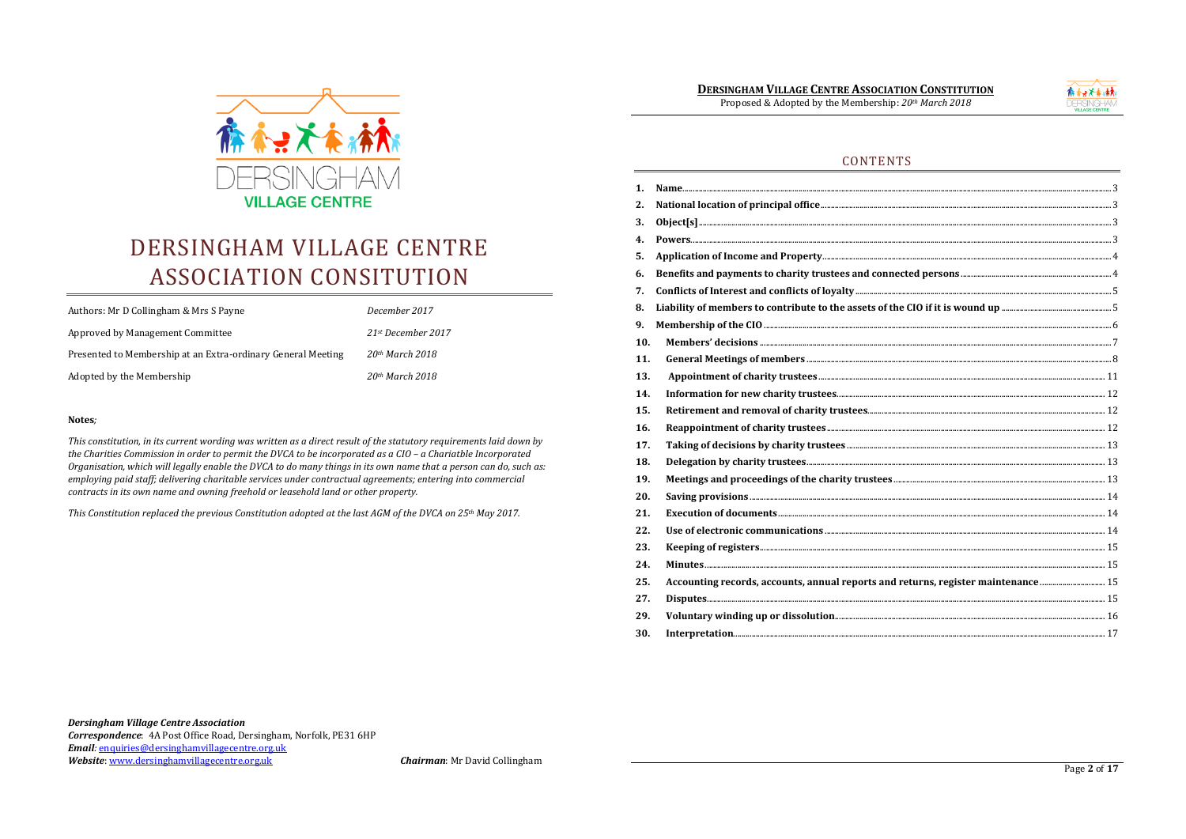

| Authors: Mr D Collingham & Mrs S Payne                       | December 2017                 |
|--------------------------------------------------------------|-------------------------------|
| Approved by Management Committee                             | 21st December 2017            |
| Presented to Membership at an Extra-ordinary General Meeting | 20th March 2018               |
| Adopted by the Membership                                    | $20$ <sup>th</sup> March 2018 |

#### **Notes***;*

*This* constitution, in its current wording was written as a direct result of the statutory requirements laid down by *the Charities Commission in order to permit the DVCA to be incorporated as a CIO – a Chariatble Incorporated Organisation, which will legally enable the DVCA to do many things in its own name that a person can do, such as: employing paid staff; delivering charitable services under contractual agreements; entering into commercial contracts in its own name and owning freehold or leasehold land or other property.* 

*This Constitution replaced the previous Constitution adopted at the last AGM of the DVCA on 25th May 2017.* 

Proposed & Adopted by the Membership: 20<sup>th</sup> March 2018

 



# **CONTENTS**

| 1.  |                                                                                    |  |
|-----|------------------------------------------------------------------------------------|--|
| 2.  |                                                                                    |  |
| 3.  |                                                                                    |  |
| 4.  |                                                                                    |  |
| 5.  |                                                                                    |  |
| 6.  |                                                                                    |  |
| 7.  |                                                                                    |  |
| 8.  |                                                                                    |  |
| 9.  |                                                                                    |  |
| 10. |                                                                                    |  |
| 11. |                                                                                    |  |
| 13. |                                                                                    |  |
| 14. |                                                                                    |  |
| 15. |                                                                                    |  |
| 16. |                                                                                    |  |
| 17. |                                                                                    |  |
| 18. |                                                                                    |  |
| 19. |                                                                                    |  |
| 20. |                                                                                    |  |
| 21. |                                                                                    |  |
| 22. |                                                                                    |  |
| 23. |                                                                                    |  |
| 24. |                                                                                    |  |
| 25. | Accounting records, accounts, annual reports and returns, register maintenance  15 |  |
| 27. |                                                                                    |  |
| 29. |                                                                                    |  |
| 30. |                                                                                    |  |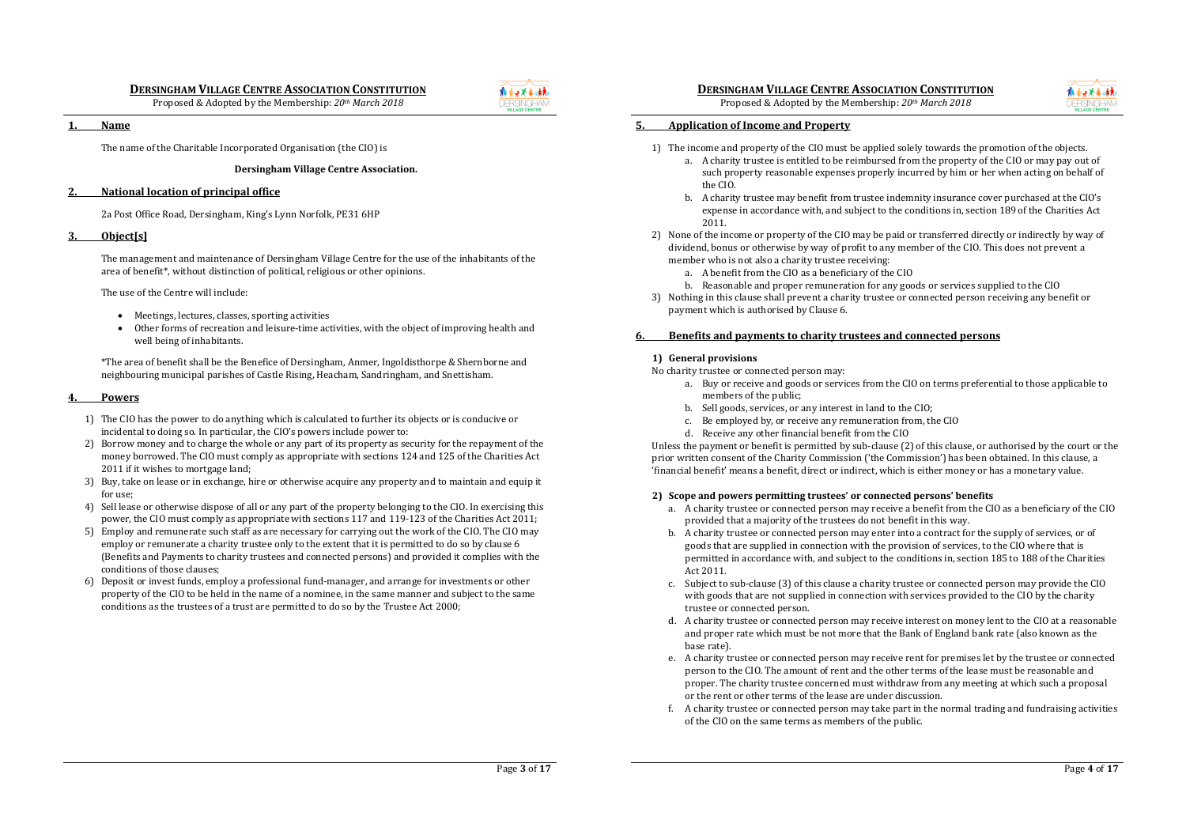Proposed & Adopted by the Membership: *20th March 2018*



#### **1. Name**

The name of the Charitable Incorporated Organisation (the CIO) is

# **Dersingham Village Centre Association.**

#### **2. National location of principal office**

2a Post Office Road, Dersingham, King's Lynn Norfolk, PE31 6HP

# **3. Object[s]**

The management and maintenance of Dersingham Village Centre for the use of the inhabitants of the area of benefit\*, without distinction of political, religious or other opinions.

The use of the Centre will include:

- Meetings, lectures, classes, sporting activities
- Other forms of recreation and leisure-time activities, with the object of improving health and well being of inhabitants.

\*The area of benefit shall be the Benefice of Dersingham, Anmer, Ingoldisthorpe & Shernborne and neighbouring municipal parishes of Castle Rising, Heacham, Sandringham, and Snettisham.

#### **4. Powers**

- 1) The CIO has the power to do anything which is calculated to further its objects or is conducive or incidental to doing so. In particular, the CIO's powers include power to:
- 2) Borrow money and to charge the whole or any part of its property as security for the repayment of the money borrowed. The CIO must comply as appropriate with sections 124 and 125 of the Charities Act 2011 if it wishes to mortgage land:
- 3) Buy, take on lease or in exchange, hire or otherwise acquire any property and to maintain and equip it for use:
- 4) Sell lease or otherwise dispose of all or any part of the property belonging to the CIO. In exercising this power, the CIO must comply as appropriate with sections 117 and 119-123 of the Charities Act 2011;
- 5) Employ and remunerate such staff as are necessary for carrying out the work of the CIO. The CIO may employ or remunerate a charity trustee only to the extent that it is permitted to do so by clause 6 (Benefits and Payments to charity trustees and connected persons) and provided it complies with the conditions of those clauses;
- 6) Deposit or invest funds, employ a professional fund-manager, and arrange for investments or other property of the CIO to be held in the name of a nominee, in the same manner and subject to the same conditions as the trustees of a trust are permitted to do so by the Trustee Act 2000;

# **DERSINGHAM VILLAGE CENTRE ASSOCIATION CONSTITUTION**

Proposed & Adopted by the Membership: 20<sup>th</sup> March 2018

#### **5. Application of Income and Property**

- 1) The income and property of the CIO must be applied solely towards the promotion of the objects.
	- a. A charity trustee is entitled to be reimbursed from the property of the CIO or may pay out of such property reasonable expenses properly incurred by him or her when acting on behalf of the CIO.
	- b. A charity trustee may benefit from trustee indemnity insurance cover purchased at the CIO's expense in accordance with, and subject to the conditions in, section 189 of the Charities Act 2011.
- 2) None of the income or property of the CIO may be paid or transferred directly or indirectly by way of dividend, bonus or otherwise by way of profit to any member of the CIO. This does not prevent a member who is not also a charity trustee receiving:
	- a. A benefit from the CIO as a beneficiary of the CIO
	- b. Reasonable and proper remuneration for any goods or services supplied to the CIO
- 3) Nothing in this clause shall prevent a charity trustee or connected person receiving any benefit or payment which is authorised by Clause 6.

# **Benefits and payments to charity trustees and connected persons**

#### **1) General provisions**

No charity trustee or connected person may:

- a. Buy or receive and goods or services from the CIO on terms preferential to those applicable to members of the public;
- b. Sell goods, services, or any interest in land to the CIO;
- c. Be employed by, or receive any remuneration from, the CIO
- d. Receive any other financial benefit from the CIO

Unless the payment or benefit is permitted by sub-clause  $(2)$  of this clause, or authorised by the court or the prior written consent of the Charity Commission ('the Commission') has been obtained. In this clause, a 'financial benefit' means a benefit, direct or indirect, which is either money or has a monetary value.

#### 2) Scope and powers permitting trustees' or connected persons' benefits

- a. A charity trustee or connected person may receive a benefit from the CIO as a beneficiary of the CIO provided that a majority of the trustees do not benefit in this way.
- b. A charity trustee or connected person may enter into a contract for the supply of services, or of goods that are supplied in connection with the provision of services, to the CIO where that is permitted in accordance with, and subject to the conditions in, section 185 to 188 of the Charities Act 2011.
- c. Subject to sub-clause (3) of this clause a charity trustee or connected person may provide the CIO with goods that are not supplied in connection with services provided to the CIO by the charity trustee or connected person.
- d. A charity trustee or connected person may receive interest on money lent to the CIO at a reasonable and proper rate which must be not more that the Bank of England bank rate (also known as the base rate).
- e. A charity trustee or connected person may receive rent for premises let by the trustee or connected person to the CIO. The amount of rent and the other terms of the lease must be reasonable and proper. The charity trustee concerned must withdraw from any meeting at which such a proposal or the rent or other terms of the lease are under discussion.
- f. A charity trustee or connected person may take part in the normal trading and fundraising activities of the CIO on the same terms as members of the public.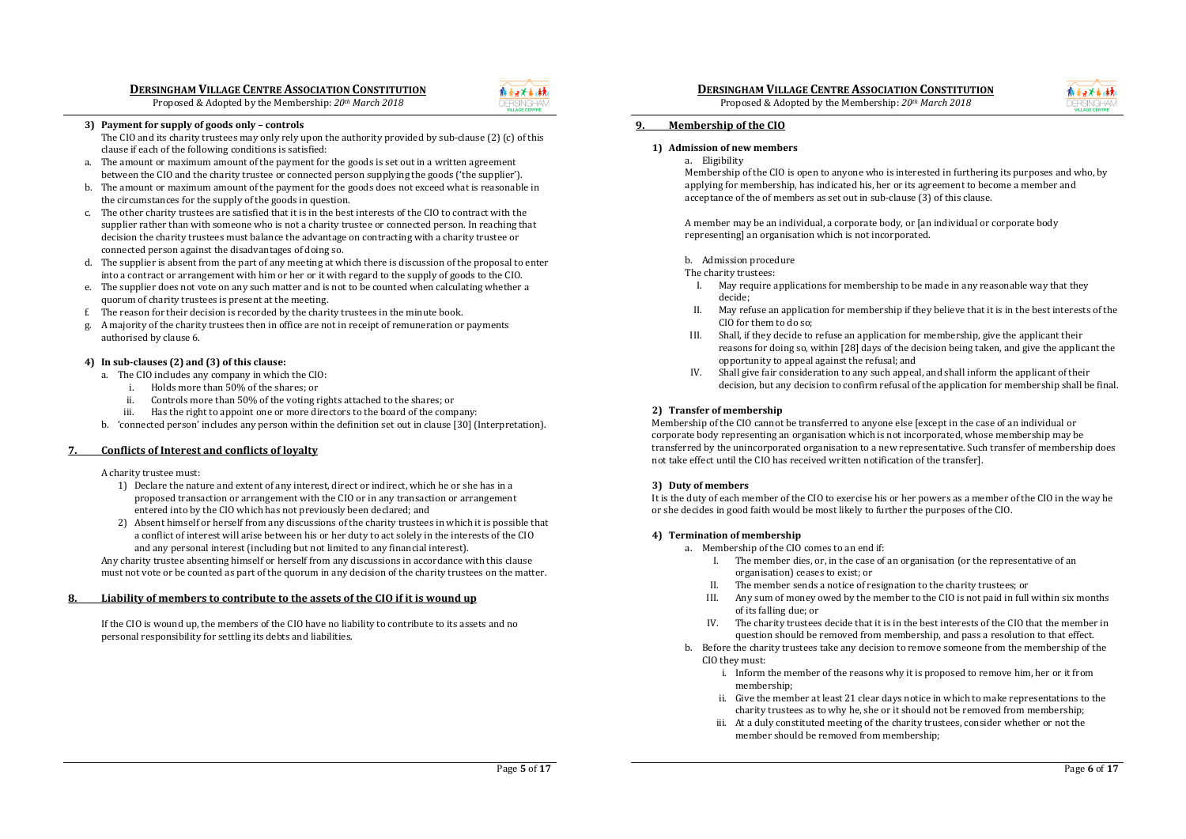Proposed & Adopted by the Membership: *20th March 2018*

#### **3)** Payment for supply of goods only – controls

The CIO and its charity trustees may only rely upon the authority provided by sub-clause  $(2)$  (c) of this clause if each of the following conditions is satisfied:

- a. The amount or maximum amount of the payment for the goods is set out in a written agreement between the CIO and the charity trustee or connected person supplying the goods ('the supplier').
- b. The amount or maximum amount of the payment for the goods does not exceed what is reasonable in the circumstances for the supply of the goods in question.
- c. The other charity trustees are satisfied that it is in the best interests of the CIO to contract with the supplier rather than with someone who is not a charity trustee or connected person. In reaching that decision the charity trustees must balance the advantage on contracting with a charity trustee or connected person against the disadvantages of doing so.
- d. The supplier is absent from the part of any meeting at which there is discussion of the proposal to enter into a contract or arrangement with him or her or it with regard to the supply of goods to the CIO.
- e. The supplier does not vote on any such matter and is not to be counted when calculating whether a quorum of charity trustees is present at the meeting.
- f. The reason for their decision is recorded by the charity trustees in the minute book.
- g. A majority of the charity trustees then in office are not in receipt of remuneration or payments authorised by clause 6.

#### **4) In sub-clauses (2) and (3) of this clause:**

- a. The CIO includes any company in which the  $CIO:$ 
	- i. Holds more than  $50\%$  of the shares; or
	- ii. Controls more than 50% of the voting rights attached to the shares; or
	- iii. Has the right to appoint one or more directors to the board of the company:
- b. 'connected person' includes any person within the definition set out in clause [30] (Interpretation).

# **7. Conflicts of Interest and conflicts of loyalty**

A charity trustee must:

- 1) Declare the nature and extent of any interest, direct or indirect, which he or she has in a proposed transaction or arrangement with the CIO or in any transaction or arrangement entered into by the CIO which has not previously been declared; and
- 2) Absent himself or herself from any discussions of the charity trustees in which it is possible that a conflict of interest will arise between his or her duty to act solely in the interests of the CIO and any personal interest (including but not limited to any financial interest).

Any charity trustee absenting himself or herself from any discussions in accordance with this clause must not vote or be counted as part of the quorum in any decision of the charity trustees on the matter.

#### **8.** Liability of members to contribute to the assets of the CIO if it is wound up

If the CIO is wound up, the members of the CIO have no liability to contribute to its assets and no personal responsibility for settling its debts and liabilities.

# **DERSINGHAM VILLAGE CENTRE ASSOCIATION CONSTITUTION**

Proposed & Adopted by the Membership:  $20<sup>th</sup> March 2018$ 

#### **9. Membership of the CIO**

#### **1) Admission** of new members

a. Eligibility

Membership of the CIO is open to anyone who is interested in furthering its purposes and who, by applying for membership, has indicated his, her or its agreement to become a member and acceptance of the of members as set out in sub-clause (3) of this clause.

A member may be an individual, a corporate body, or [an individual or corporate body representing] an organisation which is not incorporated.

- b. Admission procedure
- The charity trustees:
- I. May require applications for membership to be made in any reasonable way that they decide;
- II. May refuse an application for membership if they believe that it is in the best interests of the CIO for them to do so:
- III. Shall, if they decide to refuse an application for membership, give the applicant their reasons for doing so, within [28] days of the decision being taken, and give the applicant the opportunity to appeal against the refusal; and
- IV. Shall give fair consideration to any such appeal, and shall inform the applicant of their  $\det$  decision, but any decision to confirm refusal of the application for membership shall be final.

#### **2) Transfer of membership**

Membership of the CIO cannot be transferred to anyone else [except in the case of an individual or corporate body representing an organisation which is not incorporated, whose membership may be transferred by the unincorporated organisation to a new representative. Such transfer of membership does not take effect until the CIO has received written notification of the transfer].

#### **3) Duty of members**

It is the duty of each member of the CIO to exercise his or her powers as a member of the CIO in the way he or she decides in good faith would be most likely to further the purposes of the CIO.

#### **4) Termination of membership**

a. Membership of the CIO comes to an end if:

- I. The member dies, or, in the case of an organisation (or the representative of an organisation) ceases to exist; or
- II. The member sends a notice of resignation to the charity trustees; or
- III. Any sum of money owed by the member to the CIO is not paid in full within six months of its falling due; or
- IV. The charity trustees decide that it is in the best interests of the CIO that the member in question should be removed from membership, and pass a resolution to that effect.
- b. Before the charity trustees take any decision to remove someone from the membership of the CIO they must:
	- i. Inform the member of the reasons why it is proposed to remove him, her or it from membership;
	- ii. Give the member at least 21 clear days notice in which to make representations to the charity trustees as to why he, she or it should not be removed from membership;
	- iii. At a duly constituted meeting of the charity trustees, consider whether or not the member should be removed from membership:

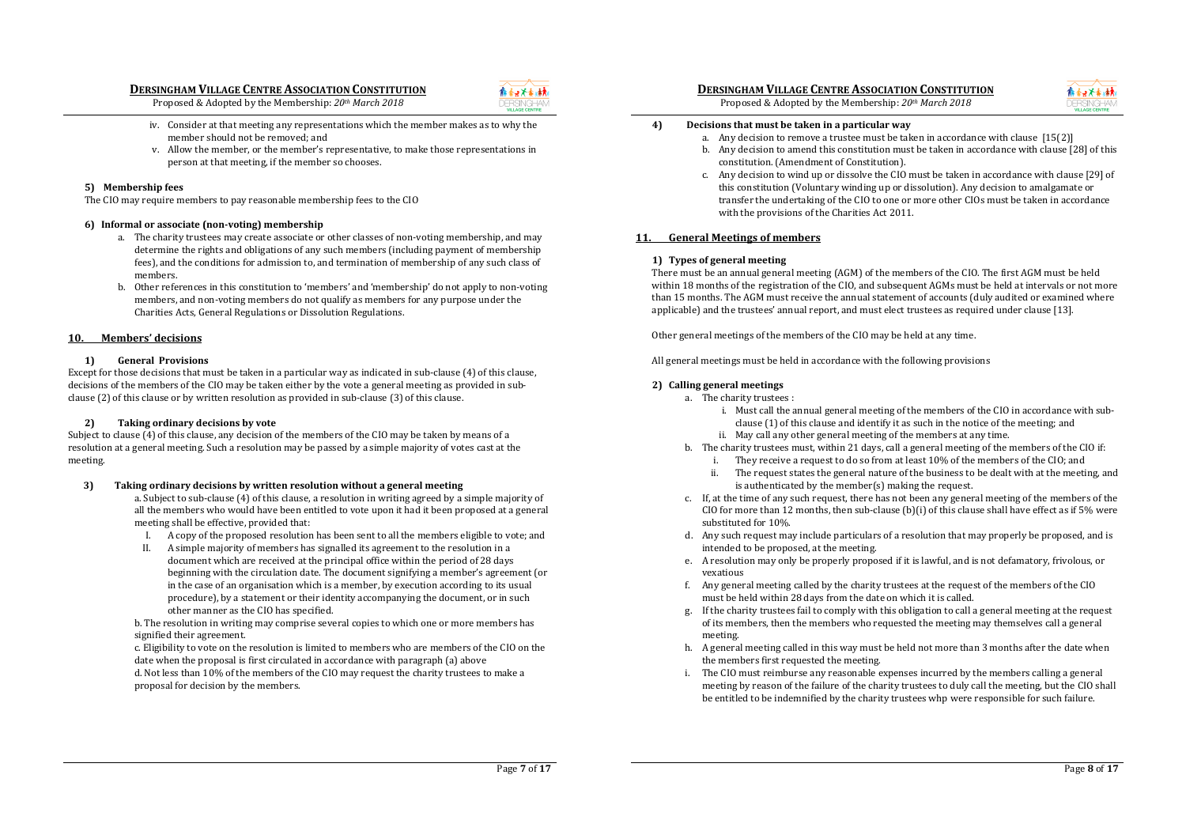Proposed & Adopted by the Membership: *20th March 2018*



- iv. Consider at that meeting any representations which the member makes as to why the member should not be removed; and
- v. Allow the member, or the member's representative, to make those representations in person at that meeting, if the member so chooses.

#### **5) Membership fees**

 

The CIO may require members to pay reasonable membership fees to the CIO

#### **6) Informal or associate (non-voting) membership**

- a. The charity trustees may create associate or other classes of non-voting membership, and may determine the rights and obligations of any such members (including payment of membership fees), and the conditions for admission to, and termination of membership of any such class of members.
- b. Other references in this constitution to 'members' and 'membership' do not apply to non-voting members, and non-voting members do not qualify as members for any purpose under the Charities Acts, General Regulations or Dissolution Regulations.

#### **10. Members' decisions**

#### **1) General Provisions**

Except for those decisions that must be taken in a particular way as indicated in sub-clause  $(4)$  of this clause, decisions of the members of the CIO may be taken either by the vote a general meeting as provided in subclause (2) of this clause or by written resolution as provided in sub-clause (3) of this clause.

#### **2) Taking ordinary decisions by vote**

Subject to clause  $\overline{(4)}$  of this clause, any decision of the members of the CIO may be taken by means of a resolution at a general meeting. Such a resolution may be passed by a simple majority of votes cast at the meeting.

#### **3) Taking ordinary decisions by written resolution without a general meeting**

a. Subject to sub-clause (4) of this clause, a resolution in writing agreed by a simple majority of all the members who would have been entitled to vote upon it had it been proposed at a general meeting shall be effective, provided that:

- I. A copy of the proposed resolution has been sent to all the members eligible to vote; and
- II. A simple majority of members has signalled its agreement to the resolution in a document which are received at the principal office within the period of 28 days beginning with the circulation date. The document signifying a member's agreement (or in the case of an organisation which is a member, by execution according to its usual procedure), by a statement or their identity accompanying the document, or in such other manner as the CIO has specified.

b. The resolution in writing may comprise several copies to which one or more members has signified their agreement.

c. Eligibility to vote on the resolution is limited to members who are members of the CIO on the date when the proposal is first circulated in accordance with paragraph (a) above d. Not less than 10% of the members of the CIO may request the charity trustees to make a proposal for decision by the members.

# **DERSINGHAM VILLAGE CENTRE ASSOCIATION CONSTITUTION**

Proposed & Adopted by the Membership: *20th March 2018*



#### **4) Decisions that must be taken in a particular way**

- a. Any decision to remove a trustee must be taken in accordance with clause [15(2)]
- b. Any decision to amend this constitution must be taken in accordance with clause [28] of this constitution. (Amendment of Constitution).
- c. Any decision to wind up or dissolve the CIO must be taken in accordance with clause [29] of this constitution (Voluntary winding up or dissolution). Any decision to amalgamate or transfer the undertaking of the CIO to one or more other CIOs must be taken in accordance with the provisions of the Charities Act 2011.

#### 11. **General Meetings of members**

# **1) Types of general meeting**

There must be an annual general meeting (AGM) of the members of the CIO. The first AGM must be held within 18 months of the registration of the CIO, and subsequent AGMs must be held at intervals or not more than 15 months. The AGM must receive the annual statement of accounts (duly audited or examined where applicable) and the trustees' annual report, and must elect trustees as required under clause [13].

Other general meetings of the members of the CIO may be held at any time.

All general meetings must be held in accordance with the following provisions

# **2) Calling general meetings**

- a. The charity trustees :
	- i. Must call the annual general meeting of the members of the CIO in accordance with subclause  $(1)$  of this clause and identify it as such in the notice of the meeting; and ii. May call any other general meeting of the members at any time.
- b. The charity trustees must, within 21 days, call a general meeting of the members of the CIO if:
	- i. They receive a request to do so from at least 10% of the members of the CIO; and
	- ii. The request states the general nature of the business to be dealt with at the meeting, and is authenticated by the member(s) making the request.
- c. If, at the time of any such request, there has not been any general meeting of the members of the CIO for more than 12 months, then sub-clause  $(b)(i)$  of this clause shall have effect as if 5% were substituted for 10%.
- d. Any such request may include particulars of a resolution that may properly be proposed, and is intended to be proposed, at the meeting.
- e. A resolution may only be properly proposed if it is lawful, and is not defamatory, frivolous, or vexatious
- f. Any general meeting called by the charity trustees at the request of the members of the CIO must be held within 28 days from the date on which it is called.
- g. If the charity trustees fail to comply with this obligation to call a general meeting at the request of its members, then the members who requested the meeting may themselves call a general meeting.
- h. A general meeting called in this way must be held not more than 3 months after the date when the members first requested the meeting.
- i. The CIO must reimburse any reasonable expenses incurred by the members calling a general meeting by reason of the failure of the charity trustees to duly call the meeting, but the CIO shall be entitled to be indemnified by the charity trustees whp were responsible for such failure.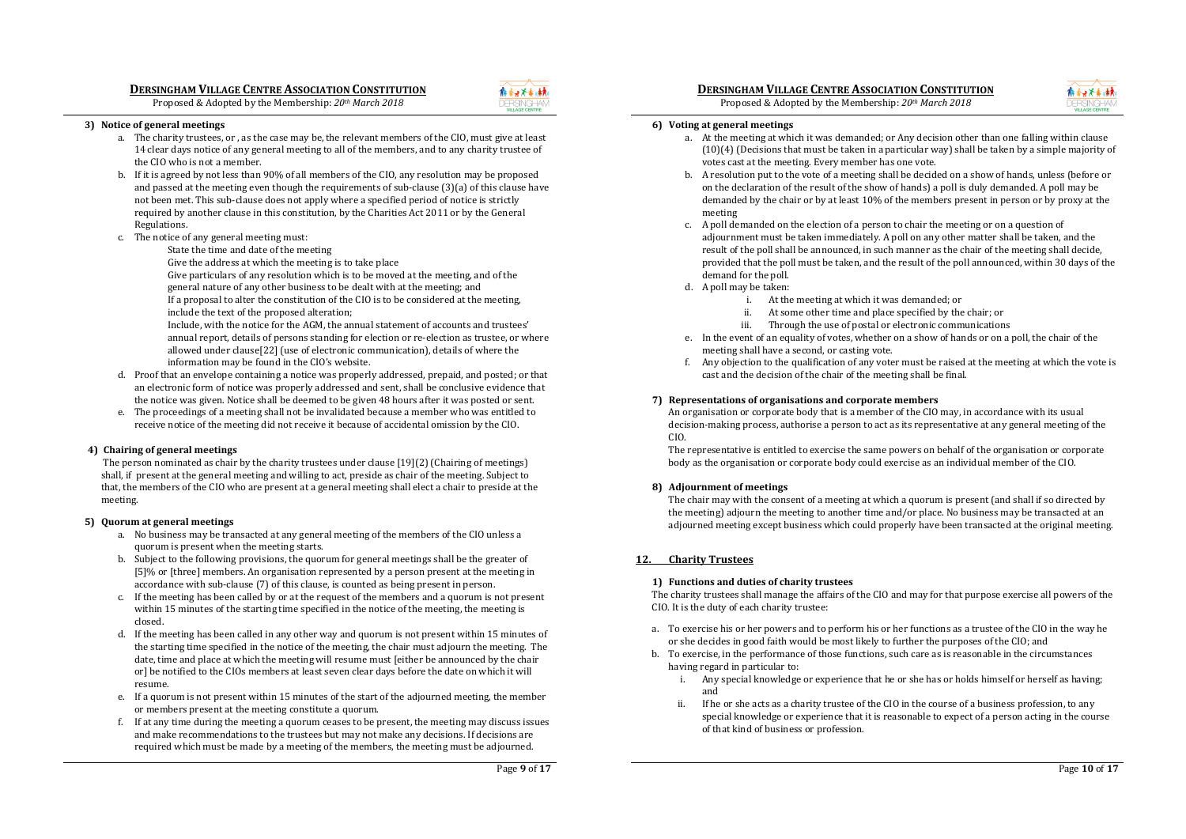Proposed & Adopted by the Membership: *20th March 2018*

#### **3) Notice of general meetings**

- a. The charity trustees, or, as the case may be, the relevant members of the CIO, must give at least 14 clear days notice of any general meeting to all of the members, and to any charity trustee of the CIO who is not a member.
- b. If it is agreed by not less than 90% of all members of the CIO, any resolution may be proposed and passed at the meeting even though the requirements of sub-clause  $(3)(a)$  of this clause have not been met. This sub-clause does not apply where a specified period of notice is strictly required by another clause in this constitution, by the Charities Act 2011 or by the General Regulations.
- c. The notice of any general meeting must:
	- State the time and date of the meeting

Give the address at which the meeting is to take place

Give particulars of any resolution which is to be moved at the meeting, and of the

general nature of any other business to be dealt with at the meeting: and If a proposal to alter the constitution of the CIO is to be considered at the meeting.

include the text of the proposed alteration;

Include, with the notice for the AGM, the annual statement of accounts and trustees' annual report, details of persons standing for election or re-election as trustee, or where allowed under clause[22] (use of electronic communication), details of where the information may be found in the CIO's website.

- d. Proof that an envelope containing a notice was properly addressed, prepaid, and posted; or that an electronic form of notice was properly addressed and sent, shall be conclusive evidence that the notice was given. Notice shall be deemed to be given 48 hours after it was posted or sent.
- e. The proceedings of a meeting shall not be invalidated because a member who was entitled to receive notice of the meeting did not receive it because of accidental omission by the CIO.

#### **4) Chairing of general meetings**

The person nominated as chair by the charity trustees under clause  $[19][2]$  (Chairing of meetings) shall, if present at the general meeting and willing to act, preside as chair of the meeting. Subject to that, the members of the CIO who are present at a general meeting shall elect a chair to preside at the meeting.

#### **5) Quorum at general meetings**

- a. No business may be transacted at any general meeting of the members of the CIO unless a quorum is present when the meeting starts.
- b. Subject to the following provisions, the quorum for general meetings shall be the greater of [5]% or [three] members. An organisation represented by a person present at the meeting in accordance with sub-clause (7) of this clause, is counted as being present in person.
- c. If the meeting has been called by or at the request of the members and a quorum is not present within 15 minutes of the starting time specified in the notice of the meeting, the meeting is closed.
- d. If the meeting has been called in any other way and quorum is not present within 15 minutes of the starting time specified in the notice of the meeting, the chair must adjourn the meeting. The date, time and place at which the meeting will resume must leither be announced by the chair orl be notified to the CIOs members at least seven clear days before the date on which it will resume.
- e. If a quorum is not present within 15 minutes of the start of the adjourned meeting, the member or members present at the meeting constitute a quorum.
- f. If at any time during the meeting a quorum ceases to be present, the meeting may discuss issues and make recommendations to the trustees but may not make any decisions. If decisions are required which must be made by a meeting of the members, the meeting must be adjourned.

# **DERSINGHAM VILLAGE CENTRE ASSOCIATION CONSTITUTION**

Proposed & Adopted by the Membership: 20<sup>th</sup> March 2018

#### **6) Voting at general meetings**

- a. At the meeting at which it was demanded; or Any decision other than one falling within clause  $(10)(4)$  (Decisions that must be taken in a particular way) shall be taken by a simple majority of votes cast at the meeting. Every member has one vote.
- b. A resolution put to the vote of a meeting shall be decided on a show of hands, unless (before or on the declaration of the result of the show of hands) a poll is duly demanded. A poll may be demanded by the chair or by at least  $10\%$  of the members present in person or by proxy at the meeting
- c. A poll demanded on the election of a person to chair the meeting or on a question of adjournment must be taken immediately. A poll on any other matter shall be taken, and the result of the poll shall be announced, in such manner as the chair of the meeting shall decide, provided that the poll must be taken, and the result of the poll announced, within 30 days of the demand for the poll.
- d. A poll may be taken:
	- $i$ . At the meeting at which it was demanded; or
	- ii. At some other time and place specified by the chair; or
	- iii. Through the use of postal or electronic communications
- e. In the event of an equality of votes, whether on a show of hands or on a poll, the chair of the meeting shall have a second, or casting vote.
- f. Any objection to the qualification of any voter must be raised at the meeting at which the vote is cast and the decision of the chair of the meeting shall be final.

#### **7) Representations of organisations and corporate members**

An organisation or corporate body that is a member of the CIO may, in accordance with its usual decision-making process, authorise a person to act as its representative at any general meeting of the CIO.

The representative is entitled to exercise the same powers on behalf of the organisation or corporate body as the organisation or corporate body could exercise as an individual member of the CIO.

#### **8) Adjournment of meetings**

The chair may with the consent of a meeting at which a quorum is present (and shall if so directed by the meeting) adjourn the meeting to another time and/or place. No business may be transacted at an adjourned meeting except business which could properly have been transacted at the original meeting.

#### **12. Charity Trustees**

#### **1) Functions and duties of charity trustees**

The charity trustees shall manage the affairs of the CIO and may for that purpose exercise all powers of the CIO. It is the duty of each charity trustee:

- a. To exercise his or her powers and to perform his or her functions as a trustee of the CIO in the way he or she decides in good faith would be most likely to further the purposes of the CIO; and
- b. To exercise, in the performance of those functions, such care as is reasonable in the circumstances having regard in particular to:
	- i. Any special knowledge or experience that he or she has or holds himself or herself as having; and
	- ii. If he or she acts as a charity trustee of the CIO in the course of a business profession, to any special knowledge or experience that it is reasonable to expect of a person acting in the course of that kind of business or profession.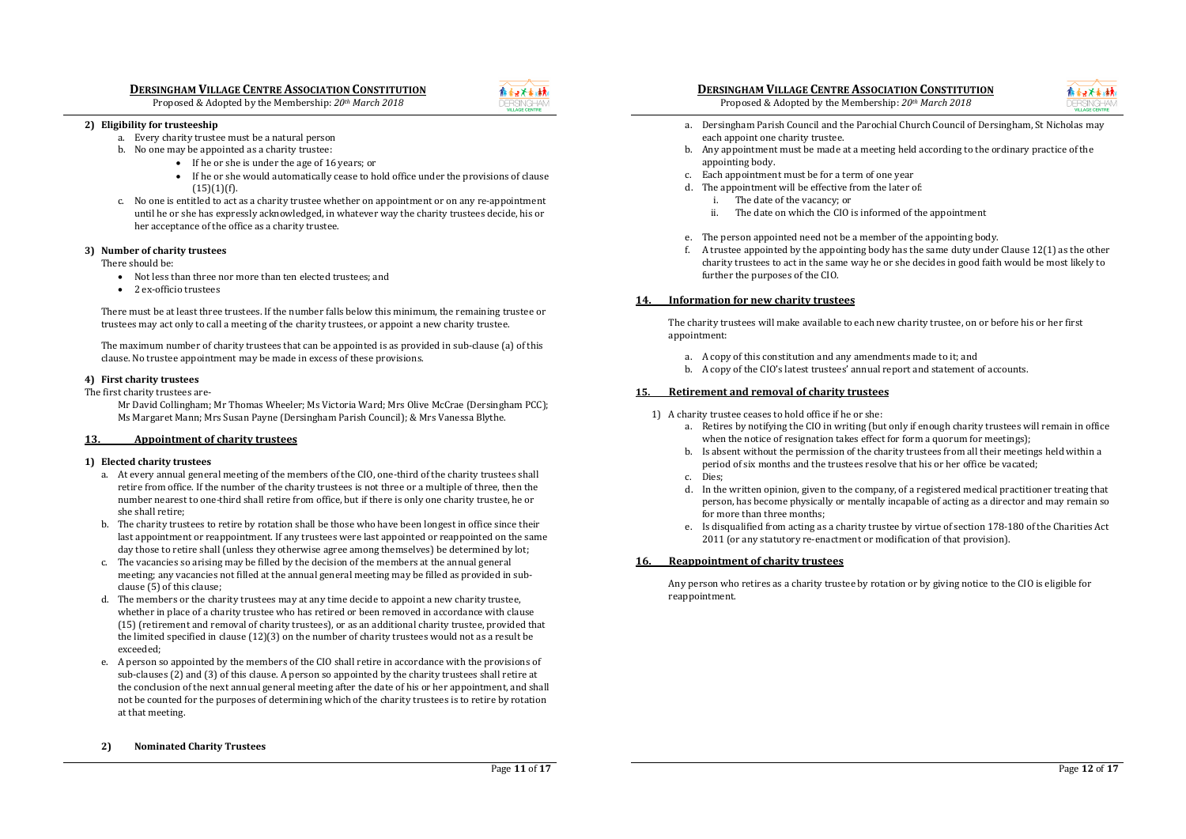Proposed & Adopted by the Membership: *20th March 2018*

#### **2) Eligibility for trusteeship**

- a. Every charity trustee must be a natural person
- b. No one may be appointed as a charity trustee:
	- If he or she is under the age of 16 years; or
	- $\bullet$  If he or she would automatically cease to hold office under the provisions of clause  $(15)(1)(f)$ .
- c. No one is entitled to act as a charity trustee whether on appointment or on any re-appointment until he or she has expressly acknowledged, in whatever way the charity trustees decide, his or her acceptance of the office as a charity trustee.

#### **3) Number of charity trustees**

There should be:

- Not less than three nor more than ten elected trustees: and
- $\bullet$  2 ex-officio trustees

There must be at least three trustees. If the number falls below this minimum, the remaining trustee or trustees may act only to call a meeting of the charity trustees, or appoint a new charity trustee.

The maximum number of charity trustees that can be appointed is as provided in sub-clause (a) of this clause. No trustee appointment may be made in excess of these provisions.

#### **4) First charity trustees**

The first charity trustees are-

Mr David Collingham; Mr Thomas Wheeler; Ms Victoria Ward; Mrs Olive McCrae (Dersingham PCC); Ms Margaret Mann; Mrs Susan Payne (Dersingham Parish Council); & Mrs Vanessa Blythe.

#### **13. Appointment of charity trustees**

#### **1) Elected charity trustees**

- a. At every annual general meeting of the members of the CIO, one-third of the charity trustees shall retire from office. If the number of the charity trustees is not three or a multiple of three, then the number nearest to one-third shall retire from office, but if there is only one charity trustee, he or she shall retire:
- b. The charity trustees to retire by rotation shall be those who have been longest in office since their last appointment or reappointment. If any trustees were last appointed or reappointed on the same day those to retire shall (unless they otherwise agree among themselves) be determined by lot;
- $c$ . The vacancies so arising may be filled by the decision of the members at the annual general meeting; any vacancies not filled at the annual general meeting may be filled as provided in subclause (5) of this clause:
- d. The members or the charity trustees may at any time decide to appoint a new charity trustee, whether in place of a charity trustee who has retired or been removed in accordance with clause (15) (retirement and removal of charity trustees), or as an additional charity trustee, provided that the limited specified in clause  $(12)(3)$  on the number of charity trustees would not as a result be exceeded;
- e. A person so appointed by the members of the CIO shall retire in accordance with the provisions of sub-clauses (2) and (3) of this clause. A person so appointed by the charity trustees shall retire at the conclusion of the next annual general meeting after the date of his or her appointment, and shall not be counted for the purposes of determining which of the charity trustees is to retire by rotation at that meeting.

**2) Nominated Charity Trustees** 

#### **DERSINGHAM VILLAGE CENTRE ASSOCIATION CONSTITUTION**

Proposed & Adopted by the Membership: 20<sup>th</sup> March 2018



- a. Dersingham Parish Council and the Parochial Church Council of Dersingham, St Nicholas may each appoint one charity trustee.
- b. Any appointment must be made at a meeting held according to the ordinary practice of the appointing body.
- c. Each appointment must be for a term of one year
- d. The appointment will be effective from the later of:
	- i. The date of the vacancy; or
	- ii. The date on which the CIO is informed of the appointment
- e. The person appointed need not be a member of the appointing body.
- f. A trustee appointed by the appointing body has the same duty under Clause  $12(1)$  as the other charity trustees to act in the same way he or she decides in good faith would be most likely to further the purposes of the CIO.

#### **14. Information for new charity trustees**

The charity trustees will make available to each new charity trustee, on or before his or her first appointment:

- a. A copy of this constitution and any amendments made to it: and
- b. A copy of the CIO's latest trustees' annual report and statement of accounts.

#### **15.** Retirement and removal of charity trustees

1) A charity trustee ceases to hold office if he or she:

- a. Retires by notifying the CIO in writing (but only if enough charity trustees will remain in office when the notice of resignation takes effect for form a quorum for meetings);
- b. Is absent without the permission of the charity trustees from all their meetings held within a period of six months and the trustees resolve that his or her office be vacated:
- c. Dies;

 

- d. In the written opinion, given to the company, of a registered medical practitioner treating that person, has become physically or mentally incapable of acting as a director and may remain so for more than three months:
- e. Is disqualified from acting as a charity trustee by virtue of section 178-180 of the Charities Act 2011 (or any statutory re-enactment or modification of that provision).

#### **16. Reappointment of charity trustees**

Any person who retires as a charity trustee by rotation or by giving notice to the CIO is eligible for reappointment.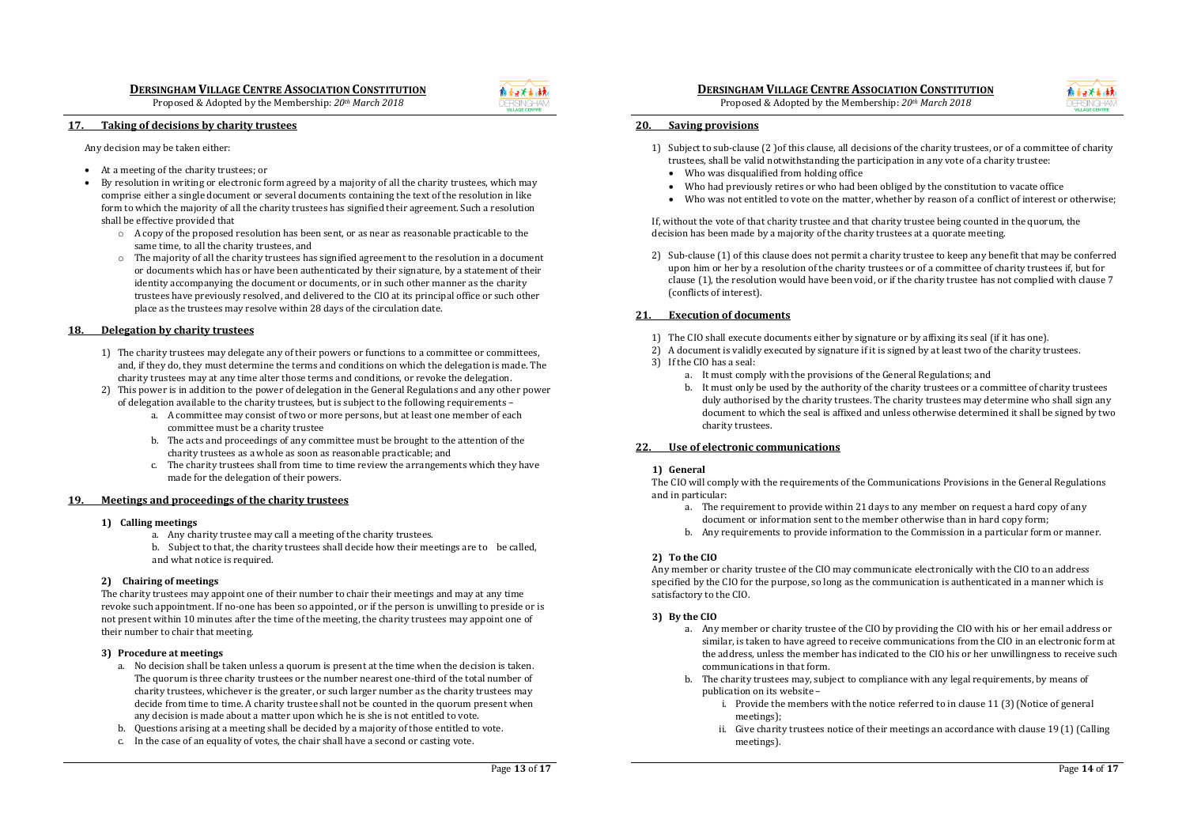Proposed & Adopted by the Membership: *20th March 2018*



#### **17. Taking of decisions by charity trustees**

Any decision may be taken either:

- At a meeting of the charity trustees: or
- By resolution in writing or electronic form agreed by a majority of all the charity trustees, which may comprise either a single document or several documents containing the text of the resolution in like form to which the majority of all the charity trustees has signified their agreement. Such a resolution shall be effective provided that
	- $\circ$  A copy of the proposed resolution has been sent, or as near as reasonable practicable to the same time, to all the charity trustees, and
	- $\circ$  The majority of all the charity trustees has signified agreement to the resolution in a document or documents which has or have been authenticated by their signature, by a statement of their identity accompanying the document or documents, or in such other manner as the charity trustees have previously resolved, and delivered to the CIO at its principal office or such other place as the trustees may resolve within 28 days of the circulation date.

#### **18. Delegation by charity trustees**

- 1) The charity trustees may delegate any of their powers or functions to a committee or committees. and, if they do, they must determine the terms and conditions on which the delegation is made. The charity trustees may at any time alter those terms and conditions, or revoke the delegation.
- 2) This power is in addition to the power of delegation in the General Regulations and any other power of delegation available to the charity trustees, but is subject to the following requirements
	- a. A committee may consist of two or more persons, but at least one member of each committee must be a charity trustee
	- b. The acts and proceedings of any committee must be brought to the attention of the charity trustees as a whole as soon as reasonable practicable: and
	- c. The charity trustees shall from time to time review the arrangements which they have made for the delegation of their powers.

#### **19. Meetings and proceedings of the charity trustees**

#### **1) Calling meetings**

- a. Any charity trustee may call a meeting of the charity trustees.
- b. Subject to that, the charity trustees shall decide how their meetings are to be called, and what notice is required.

#### **2) Chairing of meetings**

The charity trustees may appoint one of their number to chair their meetings and may at any time revoke such appointment. If no-one has been so appointed, or if the person is unwilling to preside or is not present within 10 minutes after the time of the meeting, the charity trustees may appoint one of their number to chair that meeting.

#### **3) Procedure at meetings**

- a. No decision shall be taken unless a quorum is present at the time when the decision is taken. The quorum is three charity trustees or the number nearest one-third of the total number of charity trustees, whichever is the greater, or such larger number as the charity trustees may decide from time to time. A charity trustee shall not be counted in the quorum present when any decision is made about a matter upon which he is she is not entitled to vote.
- b. Questions arising at a meeting shall be decided by a majority of those entitled to vote.
- c. In the case of an equality of votes, the chair shall have a second or casting vote.

# 20. Saving provisions

- 1) Subject to sub-clause (2) of this clause, all decisions of the charity trustees, or of a committee of charity trustees, shall be valid notwithstanding the participation in any vote of a charity trustee:
	- Who was disqualified from holding office
	- Who had previously retires or who had been obliged by the constitution to vacate office

**DERSINGHAM VILLAGE CENTRE ASSOCIATION CONSTITUTION** Proposed & Adopted by the Membership: 20<sup>th</sup> March 2018

• Who was not entitled to vote on the matter, whether by reason of a conflict of interest or otherwise;

If, without the vote of that charity trustee and that charity trustee being counted in the quorum, the decision has been made by a majority of the charity trustees at a quorate meeting.

2) Sub-clause (1) of this clause does not permit a charity trustee to keep any benefit that may be conferred upon him or her by a resolution of the charity trustees or of a committee of charity trustees if, but for clause (1), the resolution would have been void, or if the charity trustee has not complied with clause 7 (conflicts of interest).

#### **21. Execution of documents**

- 1) The CIO shall execute documents either by signature or by affixing its seal (if it has one).
- 2) A document is validly executed by signature if it is signed by at least two of the charity trustees.
- 3) If the CIO has a seal:
	- a. It must comply with the provisions of the General Regulations; and
	- b. It must only be used by the authority of the charity trustees or a committee of charity trustees duly authorised by the charity trustees. The charity trustees may determine who shall sign any document to which the seal is affixed and unless otherwise determined it shall be signed by two charity trustees.

#### **22. Use of electronic communications**

#### **1) General**

 

The CIO will comply with the requirements of the Communications Provisions in the General Regulations and in particular:

- a. The requirement to provide within 21 days to any member on request a hard copy of any document or information sent to the member otherwise than in hard copy form;
- b. Any requirements to provide information to the Commission in a particular form or manner.

#### **2) To the CIO**

Any member or charity trustee of the CIO may communicate electronically with the CIO to an address specified by the CIO for the purpose, so long as the communication is authenticated in a manner which is satisfactory to the CIO.

#### **3) By the CIO**

- a. Any member or charity trustee of the CIO by providing the CIO with his or her email address or similar, is taken to have agreed to receive communications from the CIO in an electronic form at the address, unless the member has indicated to the CIO his or her unwillingness to receive such communications in that form.
- b. The charity trustees may, subject to compliance with any legal requirements, by means of publication on its website
	- i. Provide the members with the notice referred to in clause 11 (3) (Notice of general meetings);
	- ii. Give charity trustees notice of their meetings an accordance with clause 19 (1) (Calling meetings).

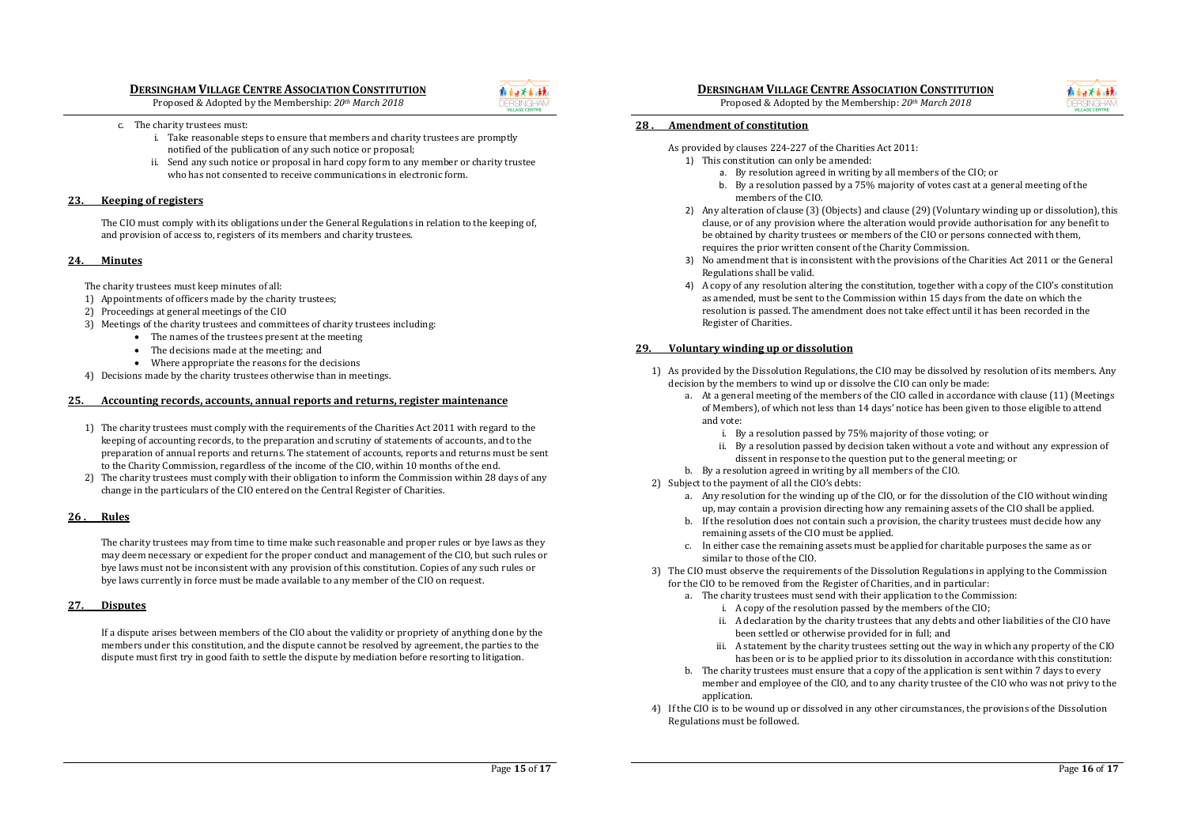Proposed & Adopted by the Membership: *20th March 2018*



#### c. The charity trustees must:

- i. Take reasonable steps to ensure that members and charity trustees are promptly notified of the publication of any such notice or proposal;
- ii. Send any such notice or proposal in hard copy form to any member or charity trustee who has not consented to receive communications in electronic form.

# **23. Keeping of registers**

The CIO must comply with its obligations under the General Regulations in relation to the keeping of, and provision of access to, registers of its members and charity trustees.

# **24. Minutes**

 

The charity trustees must keep minutes of all:

- 1) Appointments of officers made by the charity trustees:
- 2) Proceedings at general meetings of the CIO
- 3) Meetings of the charity trustees and committees of charity trustees including:
	- The names of the trustees present at the meeting
		- The decisions made at the meeting; and
	- Where appropriate the reasons for the decisions

4) Decisions made by the charity trustees otherwise than in meetings.

#### **25.** Accounting records, accounts, annual reports and returns, register maintenance

- 1) The charity trustees must comply with the requirements of the Charities Act 2011 with regard to the keeping of accounting records, to the preparation and scrutiny of statements of accounts, and to the preparation of annual reports and returns. The statement of accounts, reports and returns must be sent to the Charity Commission, regardless of the income of the CIO, within 10 months of the end.
- 2) The charity trustees must comply with their obligation to inform the Commission within 28 days of any change in the particulars of the CIO entered on the Central Register of Charities.

#### **26 . Rules**

The charity trustees may from time to time make such reasonable and proper rules or bye laws as they may deem necessary or expedient for the proper conduct and management of the CIO, but such rules or bye laws must not be inconsistent with any provision of this constitution. Copies of any such rules or bye laws currently in force must be made available to any member of the CIO on request.

#### **27. Disputes**

If a dispute arises between members of the CIO about the validity or propriety of anything done by the members under this constitution, and the dispute cannot be resolved by agreement, the parties to the dispute must first try in good faith to settle the dispute by mediation before resorting to litigation.

# **DERSINGHAM VILLAGE CENTRE ASSOCIATION CONSTITUTION**

Proposed & Adopted by the Membership: 20<sup>th</sup> March 2018

#### **28 . Amendment of constitution**

As provided by clauses 224-227 of the Charities Act 2011:

- 1) This constitution can only be amended:
	- a. By resolution agreed in writing by all members of the CIO; or
	- b. By a resolution passed by a 75% majority of votes cast at a general meeting of the members of the CIO.
- 2) Any alteration of clause (3) (Objects) and clause (29) (Voluntary winding up or dissolution), this clause, or of any provision where the alteration would provide authorisation for any benefit to be obtained by charity trustees or members of the CIO or persons connected with them, requires the prior written consent of the Charity Commission.
- 3) No amendment that is inconsistent with the provisions of the Charities Act 2011 or the General Regulations shall be valid.
- 4) A copy of any resolution altering the constitution, together with a copy of the CIO's constitution as amended, must be sent to the Commission within 15 days from the date on which the resolution is passed. The amendment does not take effect until it has been recorded in the Register of Charities.

#### **29. Voluntary winding up or dissolution**

- 1) As provided by the Dissolution Regulations, the CIO may be dissolved by resolution of its members. Any decision by the members to wind up or dissolve the CIO can only be made:
	- a. At a general meeting of the members of the CIO called in accordance with clause (11) (Meetings of Members), of which not less than 14 days' notice has been given to those eligible to attend and vote:
		- i. By a resolution passed by 75% majority of those voting; or
		- ii. By a resolution passed by decision taken without a vote and without any expression of dissent in response to the question put to the general meeting; or
	- b. By a resolution agreed in writing by all members of the CIO.
- 2) Subject to the nayment of all the CIO's debts:
	- a. Any resolution for the winding up of the CIO, or for the dissolution of the CIO without winding up, may contain a provision directing how any remaining assets of the CIO shall be applied.
	- b. If the resolution does not contain such a provision, the charity trustees must decide how any remaining assets of the CIO must be applied.
	- c. In either case the remaining assets must be applied for charitable purposes the same as or similar to those of the CIO.
- 3) The CIO must observe the requirements of the Dissolution Regulations in applying to the Commission for the CIO to be removed from the Register of Charities, and in particular:
	- a. The charity trustees must send with their application to the Commission:
		- i. A copy of the resolution passed by the members of the CIO;
		- ii. A declaration by the charity trustees that any debts and other liabilities of the CIO have been settled or otherwise provided for in full; and
		- iii. A statement by the charity trustees setting out the way in which any property of the CIO has been or is to be applied prior to its dissolution in accordance with this constitution:
	- b. The charity trustees must ensure that a copy of the application is sent within 7 days to every member and employee of the CIO, and to any charity trustee of the CIO who was not privy to the application.
- 4) If the CIO is to be wound up or dissolved in any other circumstances, the provisions of the Dissolution Regulations must be followed.